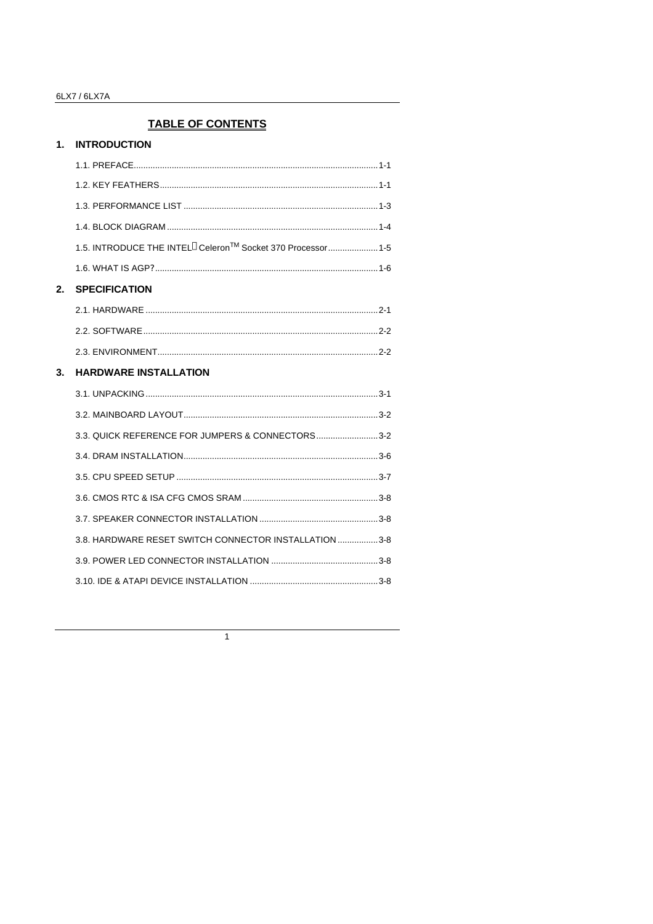## **TABLE OF CONTENTS**

| 1. | <b>INTRODUCTION</b>                                                                 |  |
|----|-------------------------------------------------------------------------------------|--|
|    |                                                                                     |  |
|    |                                                                                     |  |
|    |                                                                                     |  |
|    |                                                                                     |  |
|    | 1.5. INTRODUCE THE INTEL <sup>®</sup> Celeron <sup>™</sup> Socket 370 Processor 1-5 |  |
|    |                                                                                     |  |
| 2. | <b>SPECIFICATION</b>                                                                |  |
|    |                                                                                     |  |
|    |                                                                                     |  |
|    |                                                                                     |  |
|    |                                                                                     |  |
| 3. | <b>HARDWARE INSTALLATION</b>                                                        |  |
|    |                                                                                     |  |
|    |                                                                                     |  |
|    | 3.3. QUICK REFERENCE FOR JUMPERS & CONNECTORS3-2                                    |  |
|    |                                                                                     |  |
|    |                                                                                     |  |
|    |                                                                                     |  |
|    |                                                                                     |  |
|    | 3.8. HARDWARE RESET SWITCH CONNECTOR INSTALLATION 3-8                               |  |
|    |                                                                                     |  |

 $\overline{1}$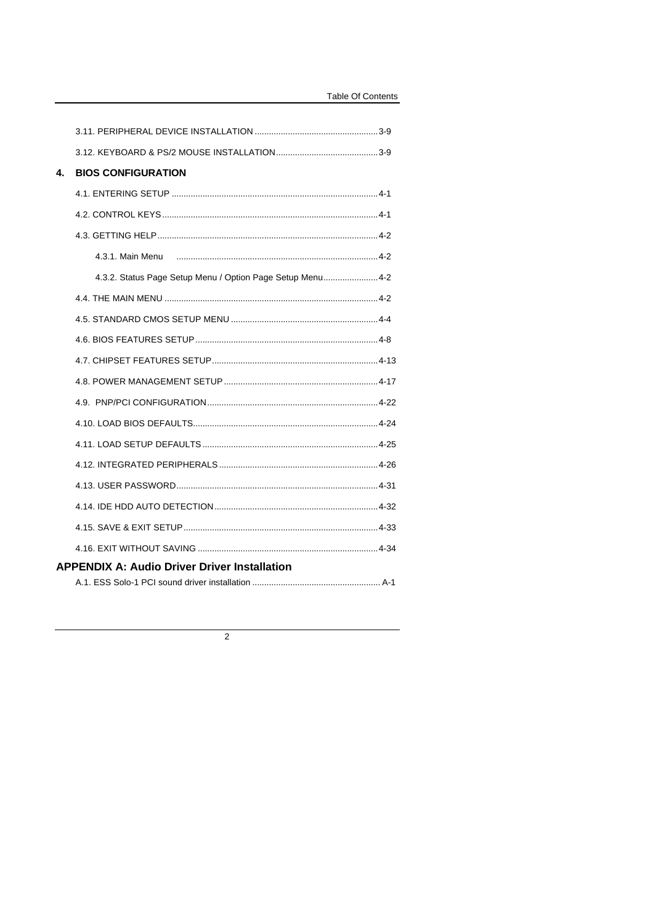|  | <b>Table Of Contents</b> |
|--|--------------------------|
|  |                          |

| 4. | <b>BIOS CONFIGURATION</b>                                  |
|----|------------------------------------------------------------|
|    |                                                            |
|    |                                                            |
|    |                                                            |
|    | 4.3.1. Main Menu                                           |
|    | 4.3.2. Status Page Setup Menu / Option Page Setup Menu 4-2 |
|    |                                                            |
|    |                                                            |
|    |                                                            |
|    |                                                            |
|    |                                                            |
|    |                                                            |
|    |                                                            |
|    |                                                            |
|    |                                                            |
|    |                                                            |
|    |                                                            |
|    |                                                            |
|    |                                                            |
|    | <b>APPENDIX A: Audio Driver Driver Installation</b>        |
|    |                                                            |

 $\overline{2}$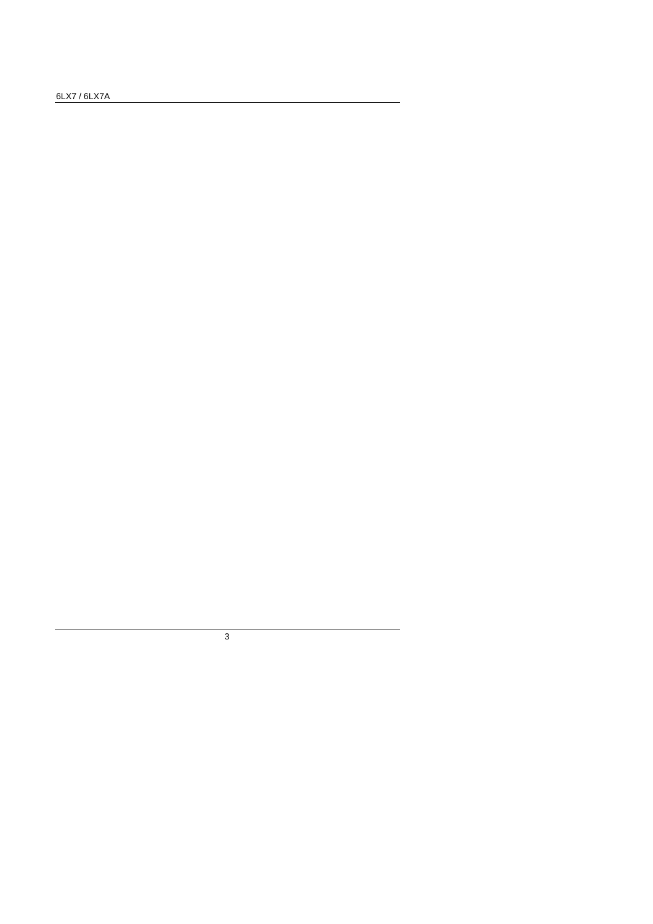6LX7 / 6LX7A

 $\overline{3}$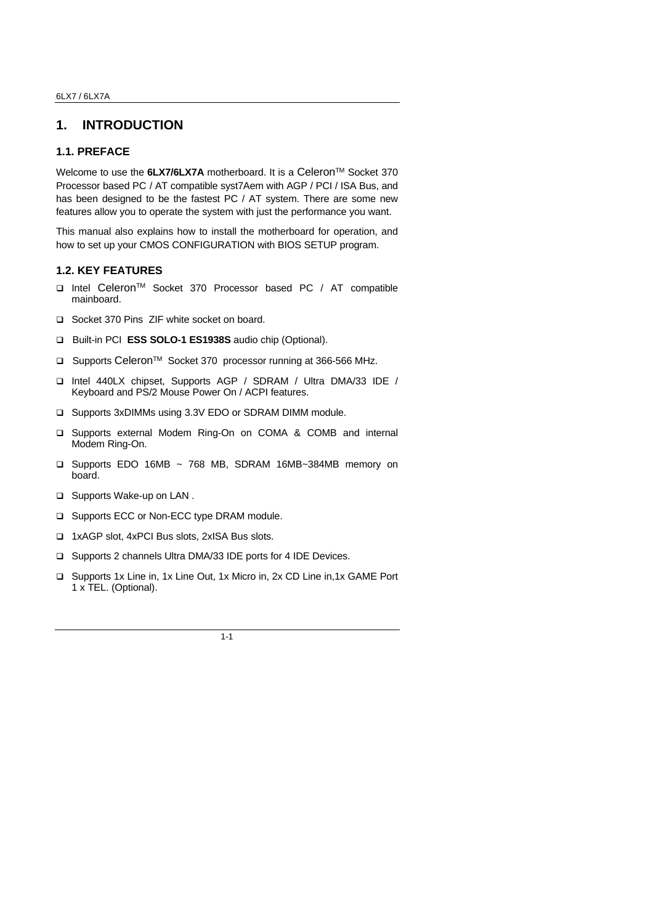## **1. INTRODUCTION**

#### **1.1. PREFACE**

Welcome to use the 6LX7/6LX7A motherboard. It is a Celeron<sup>™</sup> Socket 370 Processor based PC / AT compatible syst7Aem with AGP / PCI / ISA Bus, and has been designed to be the fastest PC / AT system. There are some new features allow you to operate the system with just the performance you want.

This manual also explains how to install the motherboard for operation, and how to set up your CMOS CONFIGURATION with BIOS SETUP program.

#### **1.2. KEY FEATURES**

- □ Intel Celeron<sup>™</sup> Socket 370 Processor based PC / AT compatible mainboard.
- □ Socket 370 Pins ZIF white socket on board.
- q Built-in PCI **ESS SOLO-1 ES1938S** audio chip (Optional).
- □ Supports Celeron<sup>™</sup> Socket 370 processor running at 366-566 MHz.
- q Intel 440LX chipset, Supports AGP / SDRAM / Ultra DMA/33 IDE / Keyboard and PS/2 Mouse Power On / ACPI features.
- □ Supports 3xDIMMs using 3.3V EDO or SDRAM DIMM module.
- □ Supports external Modem Ring-On on COMA & COMB and internal Modem Ring-On.
- q Supports EDO 16MB ~ 768 MB, SDRAM 16MB~384MB memory on board.
- □ Supports Wake-up on LAN.
- □ Supports ECC or Non-ECC type DRAM module.
- q 1xAGP slot, 4xPCI Bus slots, 2xISA Bus slots.
- □ Supports 2 channels Ultra DMA/33 IDE ports for 4 IDE Devices.
- □ Supports 1x Line in, 1x Line Out, 1x Micro in, 2x CD Line in, 1x GAME Port 1 x TEL. (Optional).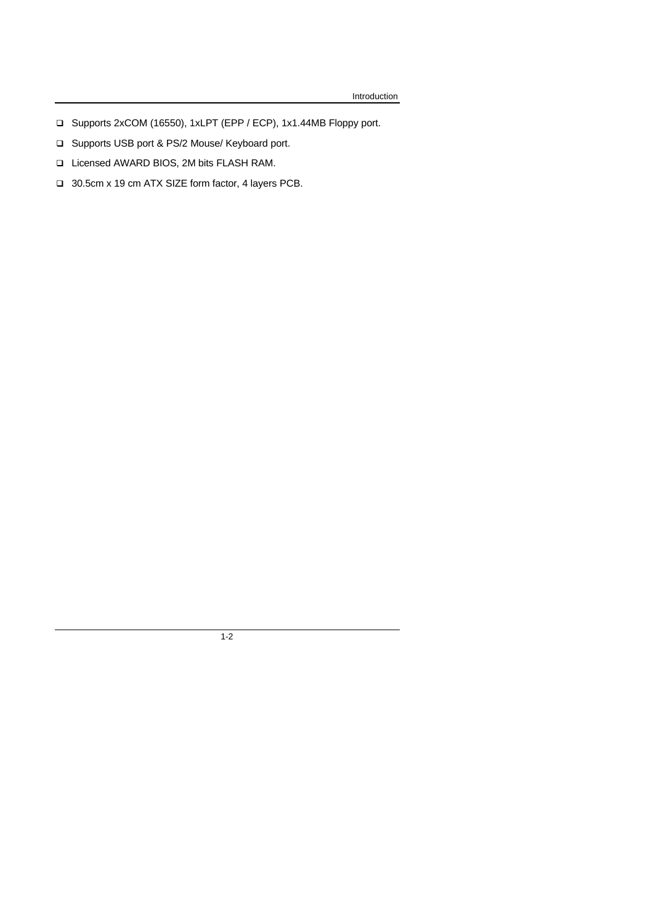- q Supports 2xCOM (16550), 1xLPT (EPP / ECP), 1x1.44MB Floppy port.
- □ Supports USB port & PS/2 Mouse/ Keyboard port.
- q Licensed AWARD BIOS, 2M bits FLASH RAM.
- q 30.5cm x 19 cm ATX SIZE form factor, 4 layers PCB.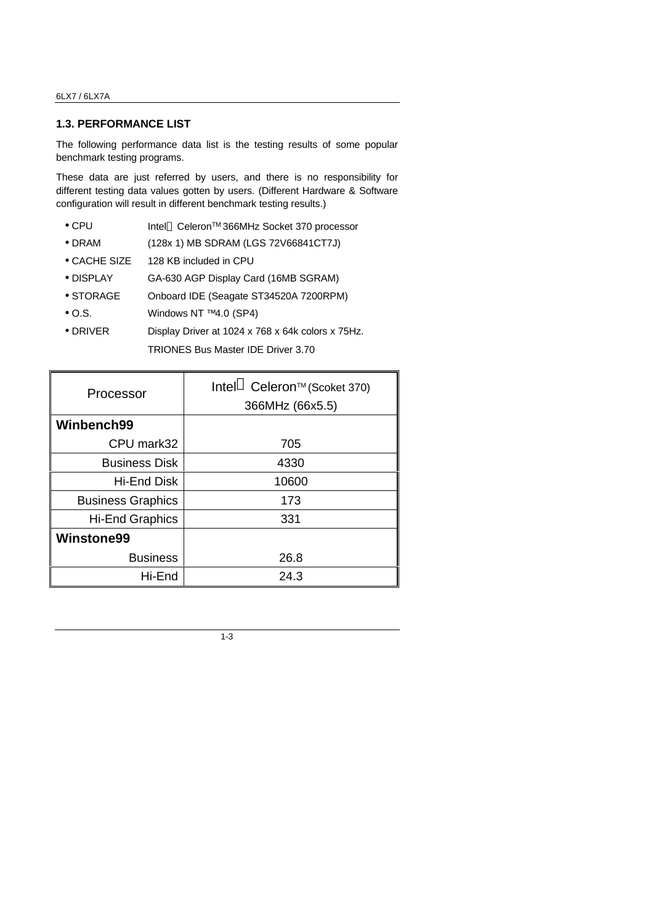#### **1.3. PERFORMANCE LIST**

The following performance data list is the testing results of some popular benchmark testing programs.

These data are just referred by users, and there is no responsibility for different testing data values gotten by users. (Different Hardware & Software configuration will result in different benchmark testing results.)

- CPU Intel<sup>®</sup> Celeron<sup>TM</sup> 366MHz Socket 370 processor
- DRAM (128x 1) MB SDRAM (LGS 72V66841CT7J)
- CACHE SIZE 128 KB included in CPU
- DISPLAY GA-630 AGP Display Card (16MB SGRAM)
- STORAGE Onboard IDE (Seagate ST34520A 7200RPM)
- O.S. Windows NT ™4.0 (SP4)
- DRIVER Display Driver at 1024 x 768 x 64k colors x 75Hz.

TRIONES Bus Master IDE Driver 3.70

| Processor                | Intel <sup>®</sup> Celeron <sup>™</sup> (Scoket 370)<br>366MHz (66x5.5) |
|--------------------------|-------------------------------------------------------------------------|
| Winbench99               |                                                                         |
| CPU mark32               | 705                                                                     |
| <b>Business Disk</b>     | 4330                                                                    |
| Hi-End Disk              | 10600                                                                   |
| <b>Business Graphics</b> | 173                                                                     |
| <b>Hi-End Graphics</b>   | 331                                                                     |
| <b>Winstone99</b>        |                                                                         |
| <b>Business</b>          | 26.8                                                                    |
| Hi-End                   | 24.3                                                                    |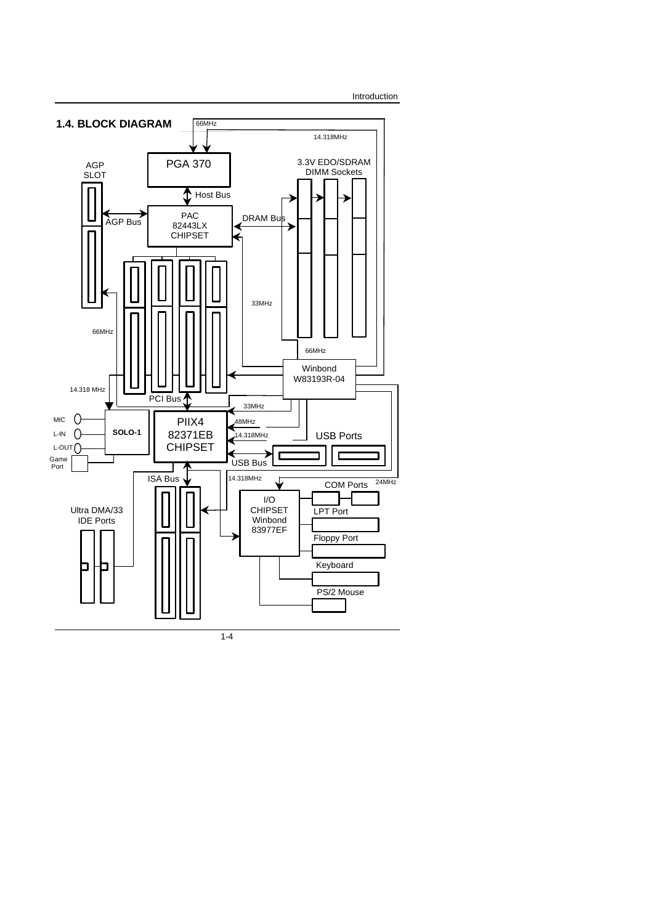Introduction

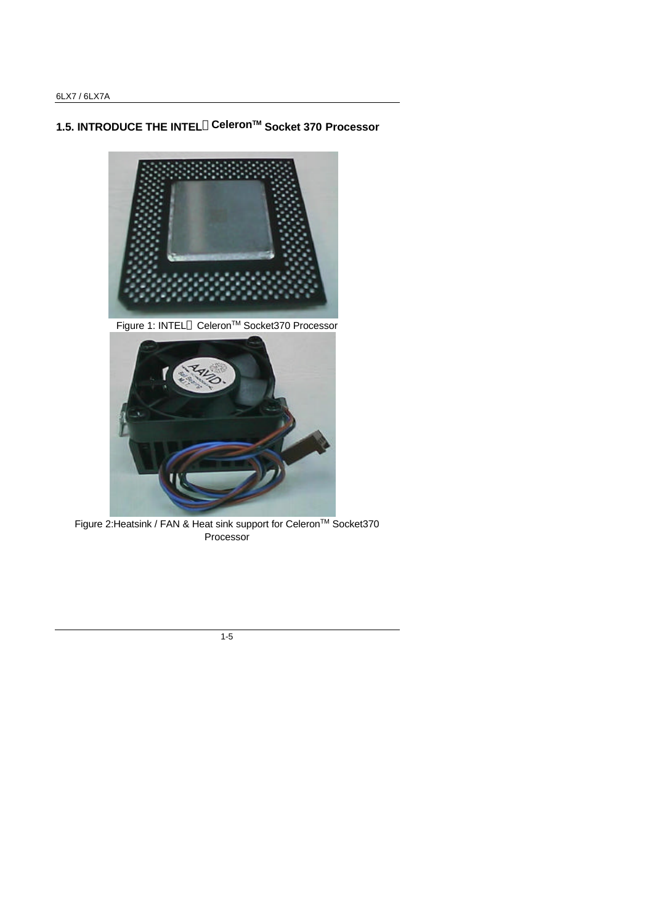# **1.5. INTRODUCE THE INTELâCeleronTM Socket 370 Processor**



Figure 1: INTEL<sup>®</sup> Celeron<sup>™</sup> Socket370 Processor



Figure 2: Heatsink / FAN & Heat sink support for Celeron™ Socket370 Processor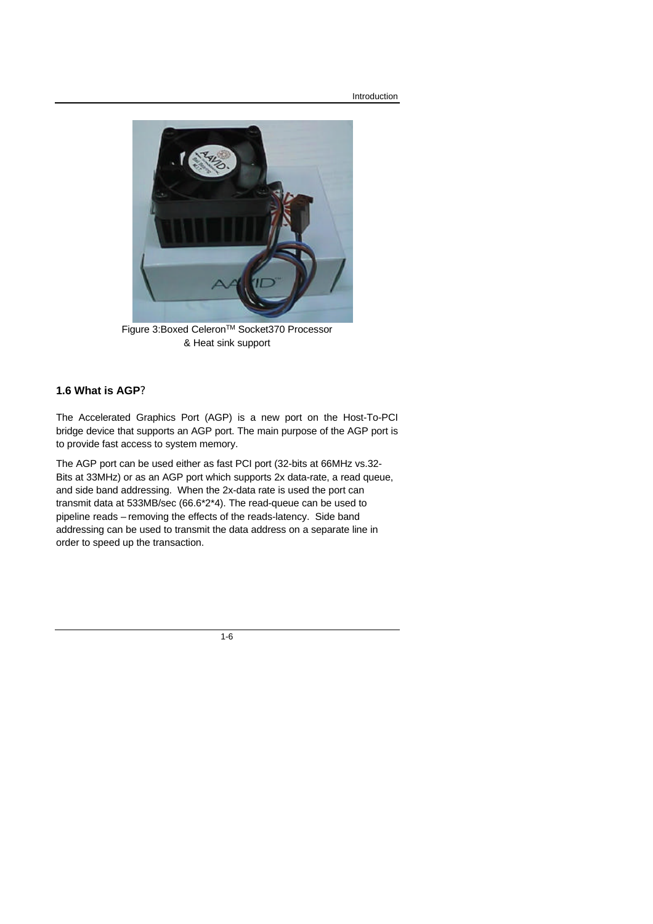Introduction



Figure 3:Boxed CeleronTM Socket370 Processor & Heat sink support

## **1.6 What is AGP?**

The Accelerated Graphics Port (AGP) is a new port on the Host-To-PCI bridge device that supports an AGP port. The main purpose of the AGP port is to provide fast access to system memory.

The AGP port can be used either as fast PCI port (32-bits at 66MHz vs.32- Bits at 33MHz) or as an AGP port which supports 2x data-rate, a read queue, and side band addressing. When the 2x-data rate is used the port can transmit data at 533MB/sec (66.6\*2\*4). The read-queue can be used to pipeline reads – removing the effects of the reads-latency. Side band addressing can be used to transmit the data address on a separate line in order to speed up the transaction.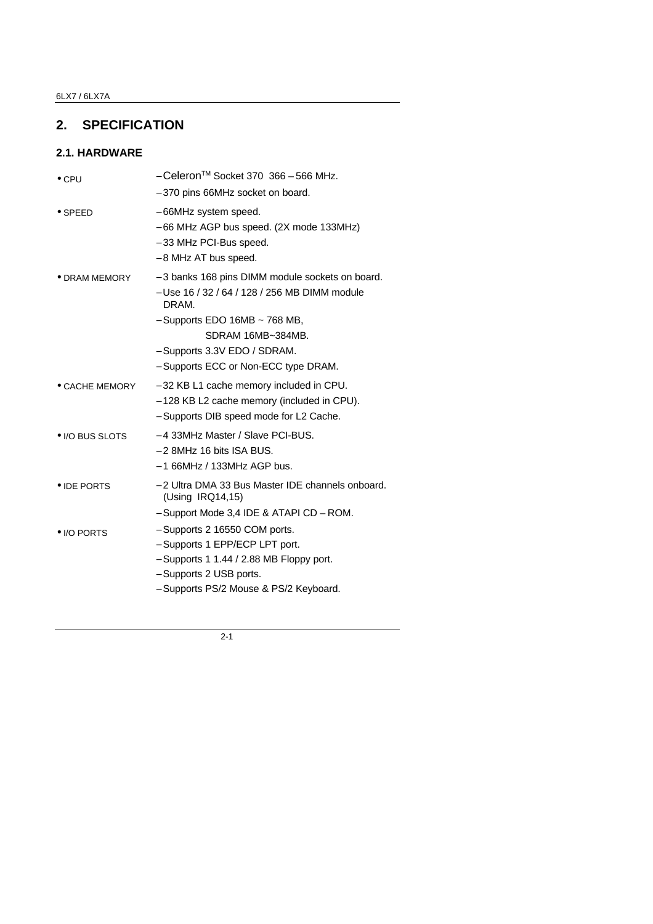## **2. SPECIFICATION**

## **2.1. HARDWARE**

| $\bullet$ CPU   | - Celeron™ Socket 370 366 - 566 MHz.<br>- 370 pins 66MHz socket on board.                                                                                                          |
|-----------------|------------------------------------------------------------------------------------------------------------------------------------------------------------------------------------|
| $\bullet$ SPEED | - 66MHz system speed.<br>- 66 MHz AGP bus speed. (2X mode 133MHz)<br>- 33 MHz PCI-Bus speed.<br>- 8 MHz AT bus speed.                                                              |
| • DRAM MEMORY   | - 3 banks 168 pins DIMM module sockets on board.<br>- Use 16 / 32 / 64 / 128 / 256 MB DIMM module<br>DRAM.<br>$-$ Supports EDO 16MB $\sim$ 768 MB,<br>SDRAM 16MB~384MB.            |
|                 | - Supports 3.3V EDO / SDRAM.<br>- Supports ECC or Non-ECC type DRAM.                                                                                                               |
| • CACHE MEMORY  | - 32 KB L1 cache memory included in CPU.<br>- 128 KB L2 cache memory (included in CPU).<br>- Supports DIB speed mode for L2 Cache.                                                 |
| • I/O BUS SLOTS | - 4 33MHz Master / Slave PCI-BUS.<br>$-2$ 8MHz 16 bits ISA BUS.<br>$-166$ MHz / 133MHz AGP bus.                                                                                    |
| • IDE PORTS     | - 2 Ultra DMA 33 Bus Master IDE channels onboard.<br>(Using IRQ14,15)<br>- Support Mode 3,4 IDE & ATAPI CD - ROM.                                                                  |
| • I/O PORTS     | - Supports 2 16550 COM ports.<br>- Supports 1 EPP/ECP LPT port.<br>$-$ Supports 1 1.44 / 2.88 MB Floppy port.<br>- Supports 2 USB ports.<br>- Supports PS/2 Mouse & PS/2 Keyboard. |
|                 |                                                                                                                                                                                    |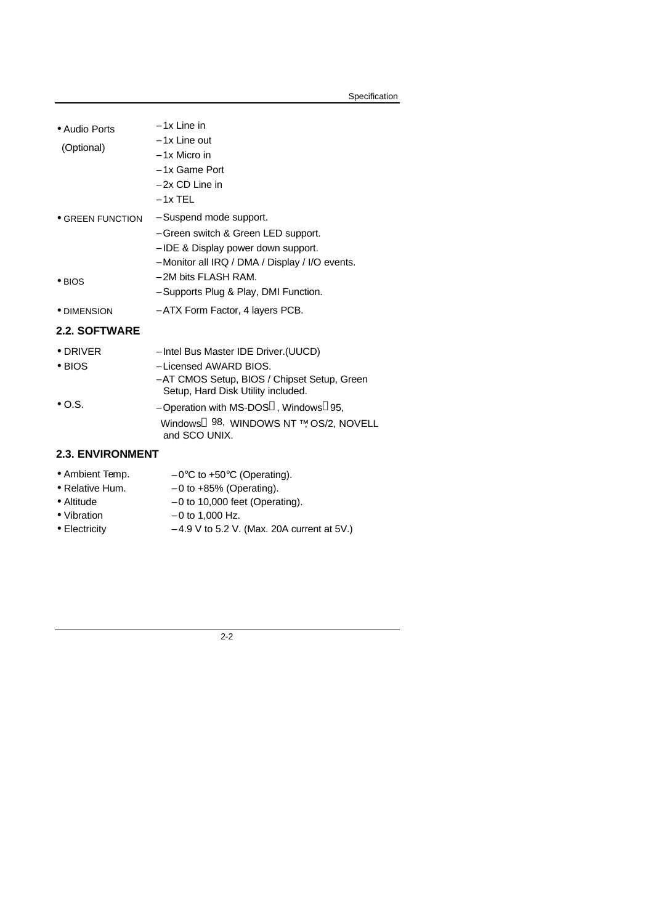## Specification

| • Audio Ports<br>(Optional)        | $-1x$ Line in<br>- 1x Line out<br>- 1x Micro in<br>- 1x Game Port                                                                                        |
|------------------------------------|----------------------------------------------------------------------------------------------------------------------------------------------------------|
|                                    | $-2x$ CD Line in<br>$-1x$ TEL                                                                                                                            |
| • GREEN FUNCTION                   | - Suspend mode support.<br>- Green switch & Green LED support.<br>- IDE & Display power down support.<br>- Monitor all IRQ / DMA / Display / I/O events. |
| $\bullet$ BIOS                     | - 2M bits FLASH RAM.<br>- Supports Plug & Play, DMI Function.                                                                                            |
| • DIMENSION                        | - ATX Form Factor, 4 layers PCB.                                                                                                                         |
| <b>2.2. SOFTWARE</b>               |                                                                                                                                                          |
| $\bullet$ DRIVER<br>$\bullet$ BIOS | - Intel Bus Master IDE Driver. (UUCD)<br>- Licensed AWARD BIOS.<br>- AT CMOS Setup, BIOS / Chipset Setup, Green<br>Setup, Hard Disk Utility included.    |
| $\bullet$ O.S.                     | - Operation with MS-DOS <sup>®</sup> , Windows <sup>®</sup> 95,<br>Windows <sup>®</sup> 98, WINDOWS NT <sup>TM</sup> OS/2, NOVELL<br>and SCO UNIX.       |
| <b>2.3. ENVIRONMENT</b>            |                                                                                                                                                          |
| • Ambient Temp.                    | $-0$ °C to +50°C (Operating).                                                                                                                            |

- Relative Hum. 0 to +85% (Operating).
- Altitude − 0 to 10,000 feet (Operating).
- Vibration  $-0$  to 1,000 Hz.
- Electricity − 4.9 V to 5.2 V. (Max. 20A current at 5V.)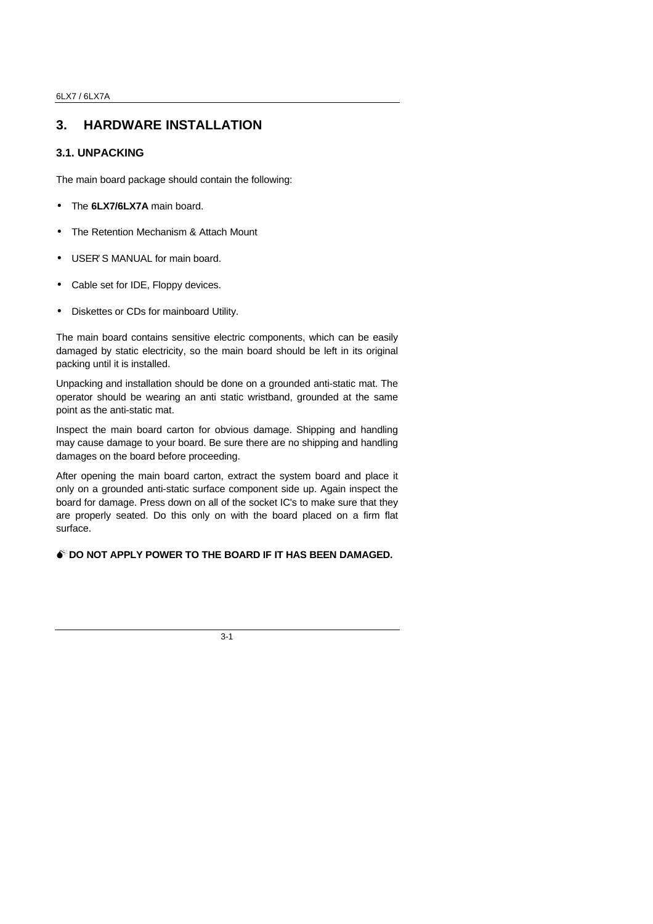## **3. HARDWARE INSTALLATION**

## **3.1. UNPACKING**

The main board package should contain the following:

- The **6LX7/6LX7A** main board.
- The Retention Mechanism & Attach Mount
- USER'S MANUAL for main board.
- Cable set for IDE, Floppy devices.
- Diskettes or CDs for mainboard Utility.

The main board contains sensitive electric components, which can be easily damaged by static electricity, so the main board should be left in its original packing until it is installed.

Unpacking and installation should be done on a grounded anti-static mat. The operator should be wearing an anti static wristband, grounded at the same point as the anti-static mat.

Inspect the main board carton for obvious damage. Shipping and handling may cause damage to your board. Be sure there are no shipping and handling damages on the board before proceeding.

After opening the main board carton, extract the system board and place it only on a grounded anti-static surface component side up. Again inspect the board for damage. Press down on all of the socket IC's to make sure that they are properly seated. Do this only on with the board placed on a firm flat surface.

#### **MIDO NOT APPLY POWER TO THE BOARD IF IT HAS BEEN DAMAGED.**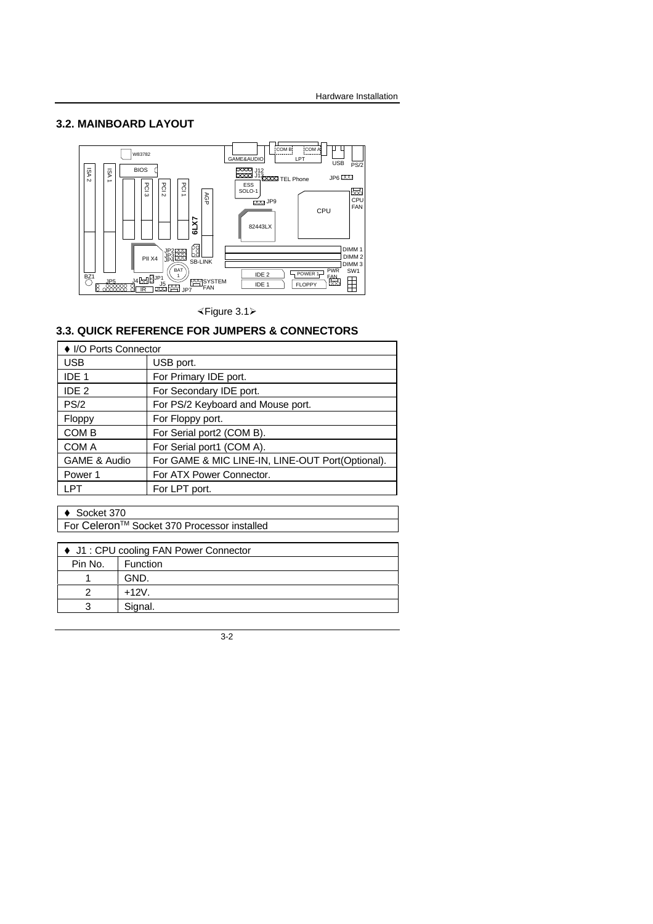## **3.2. MAINBOARD LAYOUT**



×Figure 3.1ÿ

## **3.3. QUICK REFERENCE FOR JUMPERS & CONNECTORS**

| ♦ I/O Ports Connector |                                                  |
|-----------------------|--------------------------------------------------|
| <b>USB</b>            | USB port.                                        |
| IDE <sub>1</sub>      | For Primary IDE port.                            |
| IDE <sub>2</sub>      | For Secondary IDE port.                          |
| PS/2                  | For PS/2 Keyboard and Mouse port.                |
| Floppy                | For Floppy port.                                 |
| COM <sub>B</sub>      | For Serial port2 (COM B).                        |
| COM A                 | For Serial port1 (COM A).                        |
| GAME & Audio          | For GAME & MIC LINE-IN, LINE-OUT Port(Optional). |
| Power 1               | For ATX Power Connector.                         |
| <b>LPT</b>            | For LPT port.                                    |

 $\triangleleft$  Socket 370

For CeleronTM Socket 370 Processor installed

| ♦ J1 : CPU cooling FAN Power Connector |          |
|----------------------------------------|----------|
| Pin No.                                | Function |
|                                        | GND.     |
|                                        | $+12V$ . |
|                                        | Signal.  |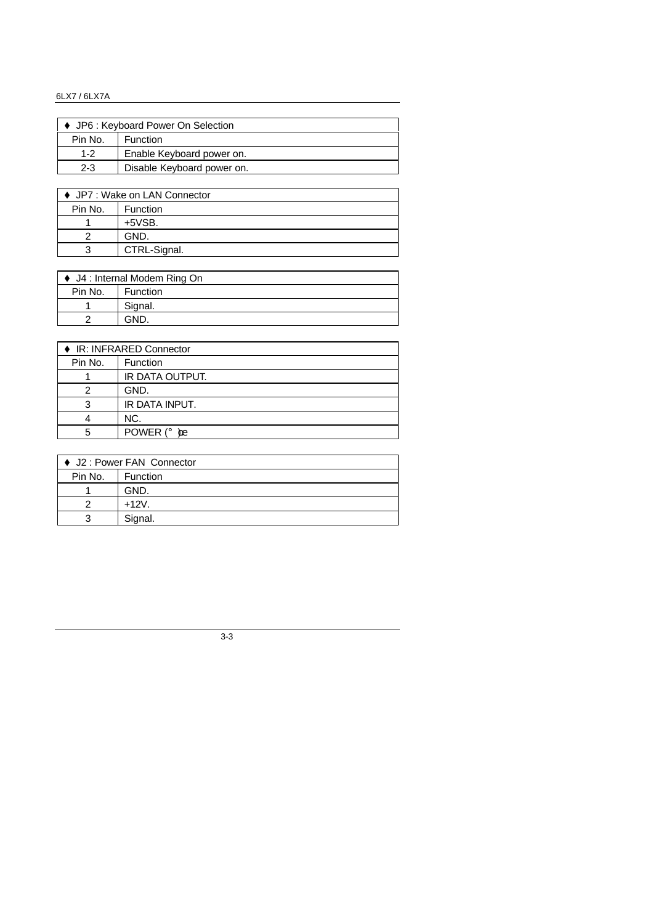## 6LX7 / 6LX7A

| ♦ JP6 : Keyboard Power On Selection |                            |
|-------------------------------------|----------------------------|
| Pin No.                             | Function                   |
| $1 - 2$                             | Enable Keyboard power on.  |
| $2 - 3$                             | Disable Keyboard power on. |

| ♦ JP7 : Wake on LAN Connector |                 |
|-------------------------------|-----------------|
| Pin No.                       | <b>Function</b> |
|                               | $+5VSB.$        |
|                               | GND.            |
| ?                             | CTRL-Signal.    |

| ♦ J4 : Internal Modem Ring On |                 |
|-------------------------------|-----------------|
| Pin No.                       | <b>Function</b> |
|                               | Signal.         |
|                               | GND.            |
|                               |                 |

| ♦ IR: INFRARED Connector |                 |
|--------------------------|-----------------|
| Pin No.                  | <b>Function</b> |
|                          | IR DATA OUTPUT. |
| 2                        | GND.            |
| 3                        | IR DATA INPUT.  |
|                          | NC.             |
| 5                        | POWER (i)       |

| ♦ J2: Power FAN Connector |          |  |
|---------------------------|----------|--|
| Pin No.                   | Function |  |
|                           | GND.     |  |
|                           | $+12V$ . |  |
| ว                         | Signal.  |  |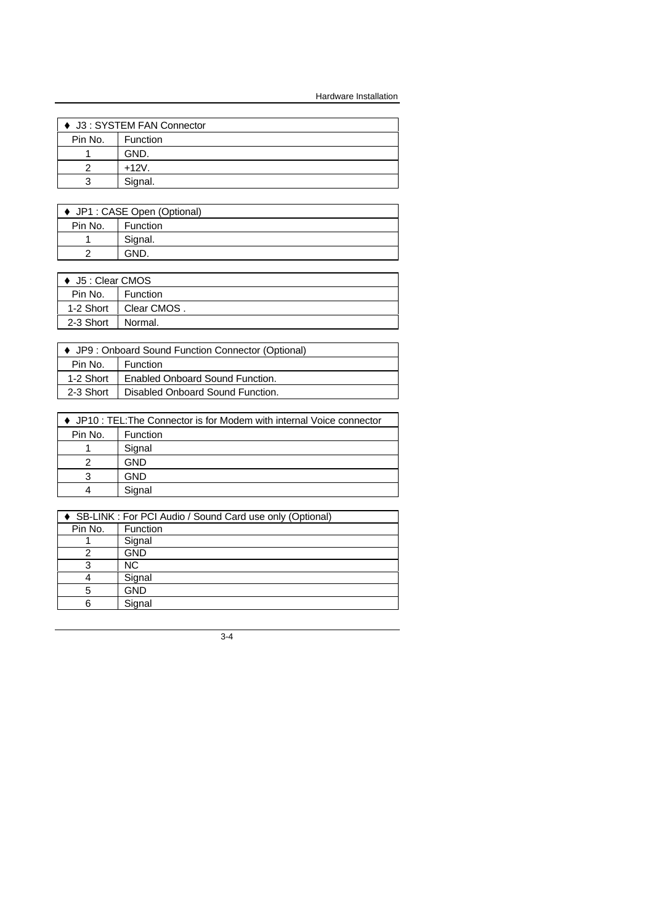Hardware Installation

| ♦ J3 : SYSTEM FAN Connector |                 |  |
|-----------------------------|-----------------|--|
| Pin No.                     | <b>Function</b> |  |
|                             | GND.            |  |
|                             | $+12V.$         |  |
|                             | Signal.         |  |

| ♦ JP1 : CASE Open (Optional) |                 |  |
|------------------------------|-----------------|--|
| Pin No.                      | <b>Function</b> |  |
|                              | Signal.         |  |
|                              | GND.            |  |

| ◆ J5 : Clear CMOS |                         |  |
|-------------------|-------------------------|--|
| Pin No.           | <b>Function</b>         |  |
|                   | 1-2 Short   Clear CMOS. |  |
| 2-3 Short         | Normal.                 |  |

| ♦ JP9 : Onboard Sound Function Connector (Optional) |                                 |  |  |
|-----------------------------------------------------|---------------------------------|--|--|
| Pin No.                                             | <b>Function</b>                 |  |  |
| 1-2 Short                                           | Enabled Onboard Sound Function. |  |  |
| Disabled Onboard Sound Function.<br>2-3 Short       |                                 |  |  |
|                                                     |                                 |  |  |

| ♦ JP10 : TEL: The Connector is for Modem with internal Voice connector |            |  |  |
|------------------------------------------------------------------------|------------|--|--|
| Pin No.                                                                | Function   |  |  |
|                                                                        | Signal     |  |  |
|                                                                        | <b>GND</b> |  |  |
| З                                                                      | GND        |  |  |
|                                                                        | Signal     |  |  |

| ♦ SB-LINK : For PCI Audio / Sound Card use only (Optional) |            |  |  |
|------------------------------------------------------------|------------|--|--|
| Pin No.                                                    | Function   |  |  |
|                                                            | Signal     |  |  |
|                                                            | <b>GND</b> |  |  |
| З                                                          | NC.        |  |  |
|                                                            | Signal     |  |  |
| 5                                                          | <b>GND</b> |  |  |
| 6                                                          | Signal     |  |  |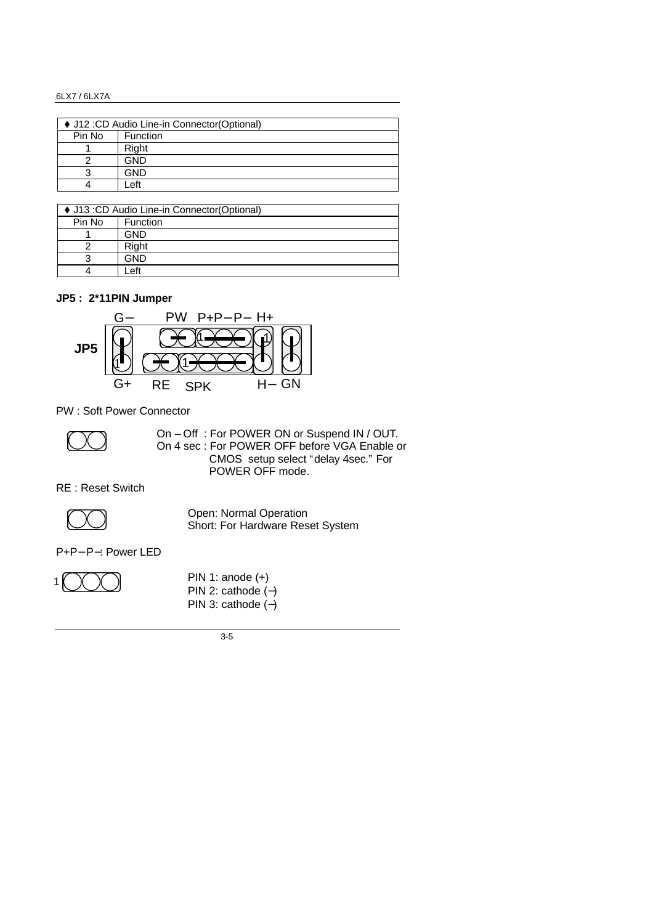#### 6LX7 / 6LX7A

| ♦ J12 :CD Audio Line-in Connector (Optional) |            |  |  |
|----------------------------------------------|------------|--|--|
| Pin No                                       | Function   |  |  |
|                                              | Right      |  |  |
|                                              | GND        |  |  |
|                                              | <b>GND</b> |  |  |
|                                              | Left       |  |  |

| ♦ J13 : CD Audio Line-in Connector (Optional) |                 |  |
|-----------------------------------------------|-----------------|--|
| Pin No                                        | <b>Function</b> |  |
|                                               | GND             |  |
|                                               | Right           |  |
|                                               | GND             |  |
|                                               | _eft            |  |

## **JP5 : 2\*11PIN Jumper**



PW : Soft Power Connector



On – Off : For POWER ON or Suspend IN / OUT. On 4 sec : For POWER OFF before VGA Enable or CMOS setup select "delay 4sec." For POWER OFF mode.

RE : Reset Switch

Open: Normal Operation Short: For Hardware Reset System

P+P− P−: Power LED

$$
1\bigcirc\bigcirc\bigcirc
$$

PIN 1: anode (+) PIN 2: cathode (−) PIN 3: cathode (−)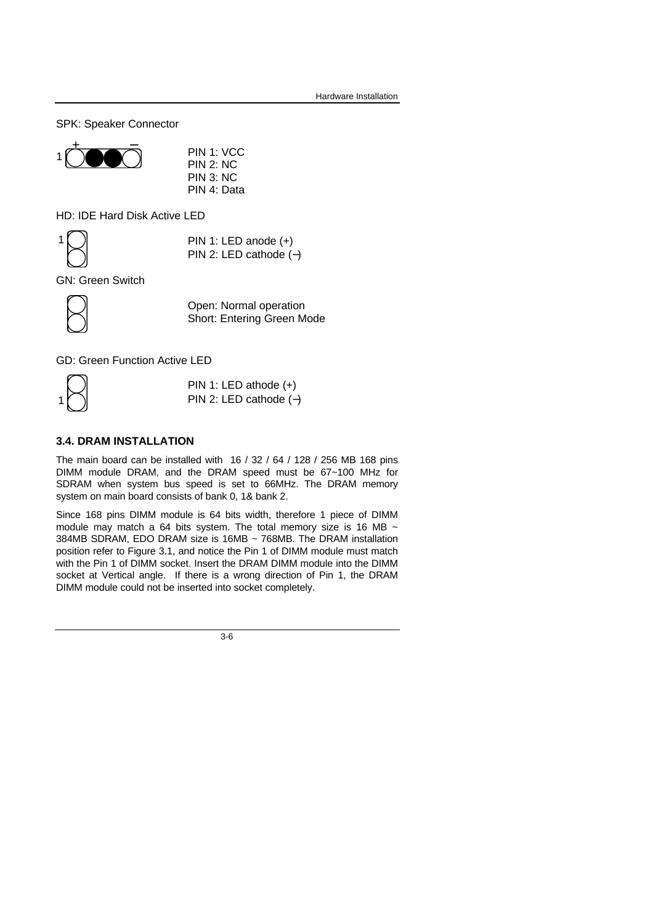SPK: Speaker Connector

$$
\begin{array}{c}\n\uparrow \\
\hline\n\end{array}
$$

PIN 1: VCC PIN 2: NC PIN 3: NC PIN 4: Data

HD: IDE Hard Disk Active LED

1

PIN 1: LED anode (+) PIN 2: LED cathode (−)

GN: Green Switch



Open: Normal operation Short: Entering Green Mode

GD: Green Function Active LED



PIN 1: LED athode (+) PIN 2: LED cathode (−)

## **3.4. DRAM INSTALLATION**

The main board can be installed with 16 / 32 / 64 / 128 / 256 MB 168 pins DIMM module DRAM, and the DRAM speed must be 67~100 MHz for SDRAM when system bus speed is set to 66MHz. The DRAM memory system on main board consists of bank 0, 1& bank 2.

Since 168 pins DIMM module is 64 bits width, therefore 1 piece of DIMM module may match a 64 bits system. The total memory size is 16 MB ~ 384MB SDRAM, EDO DRAM size is 16MB ~ 768MB. The DRAM installation position refer to Figure 3.1, and notice the Pin 1 of DIMM module must match with the Pin 1 of DIMM socket. Insert the DRAM DIMM module into the DIMM socket at Vertical angle. If there is a wrong direction of Pin 1, the DRAM DIMM module could not be inserted into socket completely.

 $\overline{3.6}$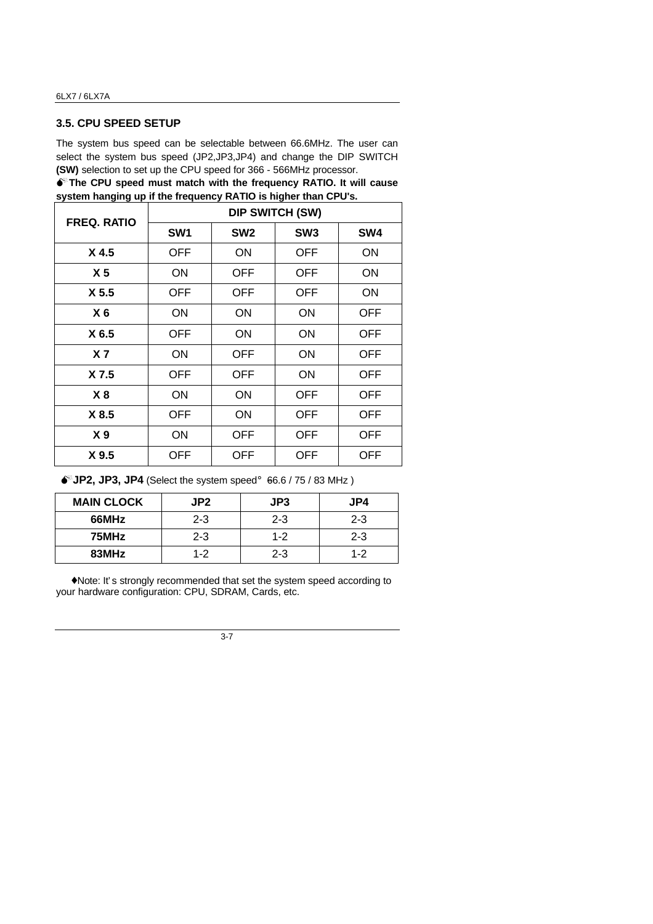## **3.5. CPU SPEED SETUP**

The system bus speed can be selectable between 66.6MHz. The user can select the system bus speed (JP2,JP3,JP4) and change the DIP SWITCH **(SW)** selection to set up the CPU speed for 366 - 566MHz processor.

 $\bullet$ <sup>\*</sup> The CPU speed must match with the frequency RATIO. It will cause **system hanging up if the frequency RATIO is higher than CPU's.**

| <b>FREQ. RATIO</b> | <b>DIP SWITCH (SW)</b> |                 |                 |            |  |
|--------------------|------------------------|-----------------|-----------------|------------|--|
|                    | SW <sub>1</sub>        | SW <sub>2</sub> | SW <sub>3</sub> | SW4        |  |
| X 4.5              | <b>OFF</b>             | ON              | <b>OFF</b>      | ON         |  |
| X <sub>5</sub>     | ON                     | <b>OFF</b>      | <b>OFF</b>      | ON         |  |
| X <sub>5.5</sub>   | OFF                    | <b>OFF</b>      | <b>OFF</b>      | ON         |  |
| $X_6$              | ON                     | ON              | ON              | <b>OFF</b> |  |
| X 6.5              | <b>OFF</b>             | ON              | ON              | <b>OFF</b> |  |
| X <sub>7</sub>     | ON                     | <b>OFF</b>      | ON              | <b>OFF</b> |  |
| X 7.5              | <b>OFF</b>             | <b>OFF</b>      | ON              | <b>OFF</b> |  |
| X8                 | ON                     | <b>ON</b>       | <b>OFF</b>      | <b>OFF</b> |  |
| X 8.5              | <b>OFF</b>             | ON              | <b>OFF</b>      | <b>OFF</b> |  |
| X <sub>9</sub>     | ON                     | <b>OFF</b>      | <b>OFF</b>      | <b>OFF</b> |  |
| X 9.5              | OFF                    | OFF             | <b>OFF</b>      | <b>OFF</b> |  |

 $\bullet^*$ **JP2, JP3, JP4** (Select the system speed; 66.6 / 75 / 83 MHz)

| <b>MAIN CLOCK</b> | JP <sub>2</sub> | JP3     | JP4     |
|-------------------|-----------------|---------|---------|
| 66MHz             | $2 - 3$         | $2 - 3$ | $2 - 3$ |
| 75MHz             | $2 - 3$         | $1 - 2$ | $2 - 3$ |
| 83MHz             | $1 - 2$         | $2 - 3$ | $1 - 2$ |

 ♦Note: It' s strongly recommended that set the system speed according to your hardware configuration: CPU, SDRAM, Cards, etc.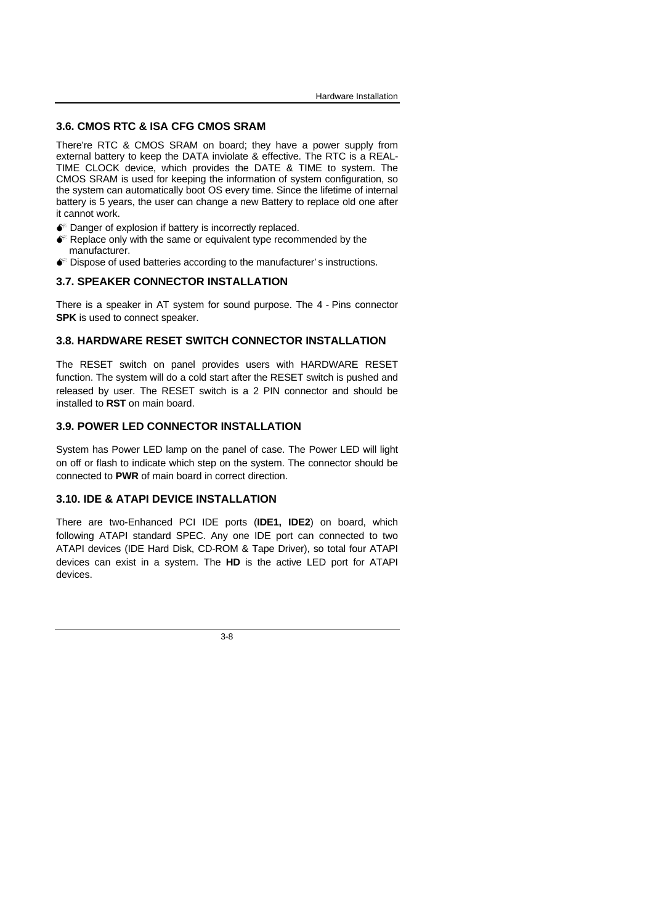## **3.6. CMOS RTC & ISA CFG CMOS SRAM**

There're RTC & CMOS SRAM on board; they have a power supply from external battery to keep the DATA inviolate & effective. The RTC is a REAL-TIME CLOCK device, which provides the DATE & TIME to system. The CMOS SRAM is used for keeping the information of system configuration, so the system can automatically boot OS every time. Since the lifetime of internal battery is 5 years, the user can change a new Battery to replace old one after it cannot work.

- $\bullet$  Danger of explosion if battery is incorrectly replaced.
- $\bullet$  Replace only with the same or equivalent type recommended by the manufacturer.
- $\bullet^*$  Dispose of used batteries according to the manufacturer's instructions.

## **3.7. SPEAKER CONNECTOR INSTALLATION**

There is a speaker in AT system for sound purpose. The 4 - Pins connector **SPK** is used to connect speaker.

## **3.8. HARDWARE RESET SWITCH CONNECTOR INSTALLATION**

The RESET switch on panel provides users with HARDWARE RESET function. The system will do a cold start after the RESET switch is pushed and released by user. The RESET switch is a 2 PIN connector and should be installed to **RST** on main board.

## **3.9. POWER LED CONNECTOR INSTALLATION**

System has Power LED lamp on the panel of case. The Power LED will light on off or flash to indicate which step on the system. The connector should be connected to **PWR** of main board in correct direction.

## **3.10. IDE & ATAPI DEVICE INSTALLATION**

There are two-Enhanced PCI IDE ports (**IDE1, IDE2**) on board, which following ATAPI standard SPEC. Any one IDE port can connected to two ATAPI devices (IDE Hard Disk, CD-ROM & Tape Driver), so total four ATAPI devices can exist in a system. The **HD** is the active LED port for ATAPI devices.